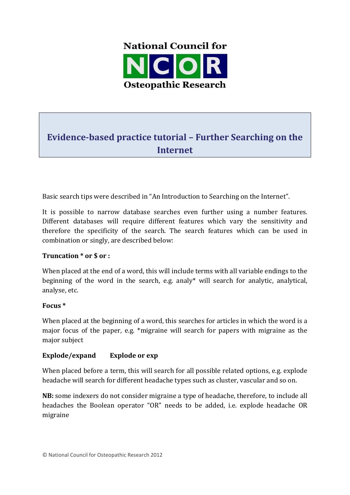

# **Evidence-based practice tutorial – Further Searching on the Internet**

Basic search tips were described in "An Introduction to Searching on the Internet".

It is possible to narrow database searches even further using a number features. Different databases will require different features which vary the sensitivity and therefore the specificity of the search. The search features which can be used in combination or singly, are described below:

# **Truncation \* or \$ or :**

When placed at the end of a word, this will include terms with all variable endings to the beginning of the word in the search, e.g. analy\* will search for analytic, analytical, analyse, etc.

#### **Focus \***

When placed at the beginning of a word, this searches for articles in which the word is a major focus of the paper, e.g. \*migraine will search for papers with migraine as the major subject

# **Explode/expand Explode or exp**

When placed before a term, this will search for all possible related options, e.g. explode headache will search for different headache types such as cluster, vascular and so on.

**NB:** some indexers do not consider migraine a type of headache, therefore, to include all headaches the Boolean operator "OR" needs to be added, i.e. explode headache OR migraine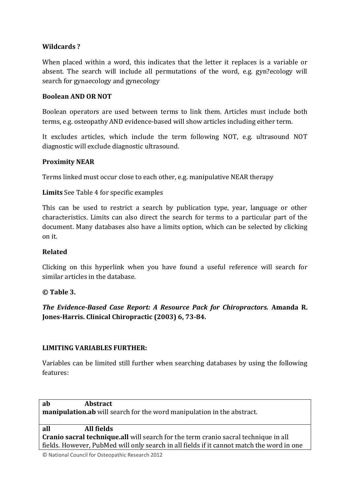# **Wildcards ?**

When placed within a word, this indicates that the letter it replaces is a variable or absent. The search will include all permutations of the word, e.g. gyn?ecology will search for gynaecology and gynecology

#### **Boolean AND OR NOT**

Boolean operators are used between terms to link them. Articles must include both terms, e.g. osteopathy AND evidence-based will show articles including either term.

It excludes articles, which include the term following NOT, e.g. ultrasound NOT diagnostic will exclude diagnostic ultrasound.

# **Proximity NEAR**

Terms linked must occur close to each other, e.g. manipulative NEAR therapy

**Limits** See Table 4 for specific examples

This can be used to restrict a search by publication type, year, language or other characteristics. Limits can also direct the search for terms to a particular part of the document. Many databases also have a limits option, which can be selected by clicking on it.

# **Related**

Clicking on this hyperlink when you have found a useful reference will search for similar articles in the database.

# **© Table 3.**

*The Evidence-Based Case Report: A Resource Pack for Chiropractors.* **Amanda R. Jones-Harris. Clinical Chiropractic (2003) 6, 73-84.** 

# **LIMITING VARIABLES FURTHER:**

Variables can be limited still further when searching databases by using the following features:

| ab                                                                                         | <b>Abstract</b> |  |  |
|--------------------------------------------------------------------------------------------|-----------------|--|--|
| <b>manipulation.ab</b> will search for the word manipulation in the abstract.              |                 |  |  |
|                                                                                            |                 |  |  |
| all                                                                                        | All fields      |  |  |
| <b>Cranio sacral technique.all</b> will search for the term cranio sacral technique in all |                 |  |  |
| fields. However, PubMed will only search in all fields if it cannot match the word in one  |                 |  |  |

© National Council for Osteopathic Research 2012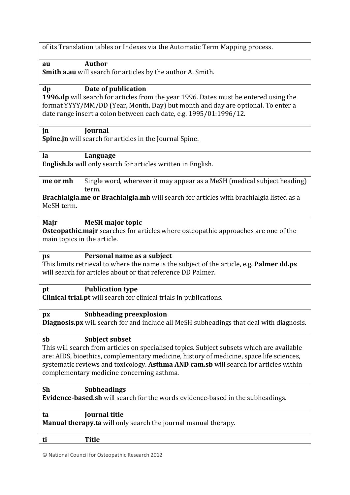**au Author** 

**Smith a.au** will search for articles by the author A. Smith.

# **dp Date of publication**

**1996.dp** will search for articles from the year 1996. Dates must be entered using the format YYYY/MM/DD (Year, Month, Day) but month and day are optional. To enter a date range insert a colon between each date, e.g. 1995/01:1996/12.

#### **jn Journal**

**Spine.in** will search for articles in the Journal Spine.

**la Language** 

**English.la** will only search for articles written in English.

**me or mh** Single word, wherever it may appear as a MeSH (medical subject heading) term.

**Brachialgia.me or Brachialgia.mh** will search for articles with brachialgia listed as a MeSH term.

#### **Majr MeSH major topic**

**Osteopathic.majr** searches for articles where osteopathic approaches are one of the main topics in the article.

# **ps Personal name as a subject**

This limits retrieval to where the name is the subject of the article, e.g. **Palmer dd.ps** will search for articles about or that reference DD Palmer.

# **pt Publication type**

**Clinical trial.pt** will search for clinical trials in publications.

#### **px Subheading preexplosion**

**Diagnosis.px** will search for and include all MeSH subheadings that deal with diagnosis.

#### **sb Subject subset**

This will search from articles on specialised topics. Subject subsets which are available are: AIDS, bioethics, complementary medicine, history of medicine, space life sciences, systematic reviews and toxicology. **Asthma AND cam.sb** will search for articles within complementary medicine concerning asthma.

# **Sh Subheadings**

**Evidence-based.sh** will search for the words evidence-based in the subheadings.

| ta                                                                    | Journal title |  |  |  |
|-----------------------------------------------------------------------|---------------|--|--|--|
| <b>Manual therapy.ta</b> will only search the journal manual therapy. |               |  |  |  |
|                                                                       |               |  |  |  |
| ti                                                                    | <b>Title</b>  |  |  |  |